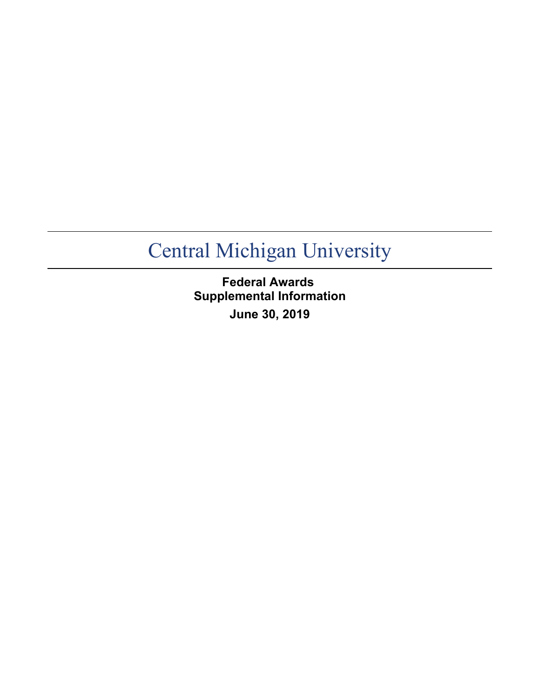**Federal Awards Supplemental Information June 30, 2019**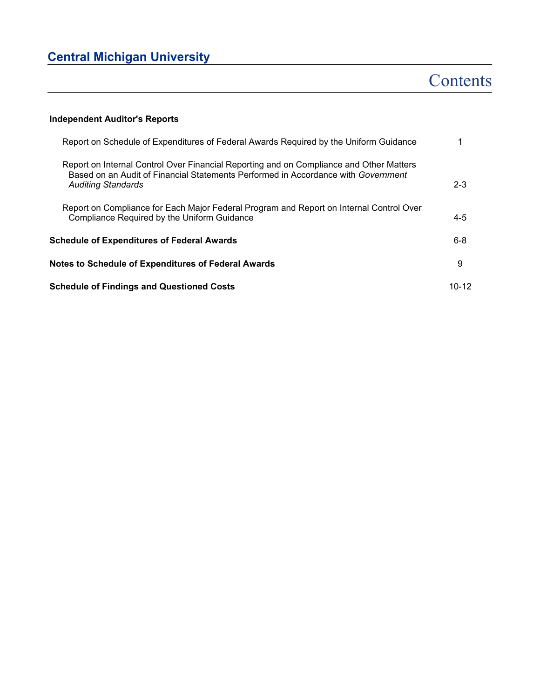# **Contents**

## **Independent Auditor's Reports**

| Report on Schedule of Expenditures of Federal Awards Required by the Uniform Guidance                                                                                                                     |           |
|-----------------------------------------------------------------------------------------------------------------------------------------------------------------------------------------------------------|-----------|
| Report on Internal Control Over Financial Reporting and on Compliance and Other Matters<br>Based on an Audit of Financial Statements Performed in Accordance with Government<br><b>Auditing Standards</b> | $2 - 3$   |
| Report on Compliance for Each Major Federal Program and Report on Internal Control Over<br>Compliance Required by the Uniform Guidance                                                                    | $4 - 5$   |
| <b>Schedule of Expenditures of Federal Awards</b>                                                                                                                                                         | $6 - 8$   |
| <b>Notes to Schedule of Expenditures of Federal Awards</b>                                                                                                                                                | 9         |
| <b>Schedule of Findings and Questioned Costs</b>                                                                                                                                                          | $10 - 12$ |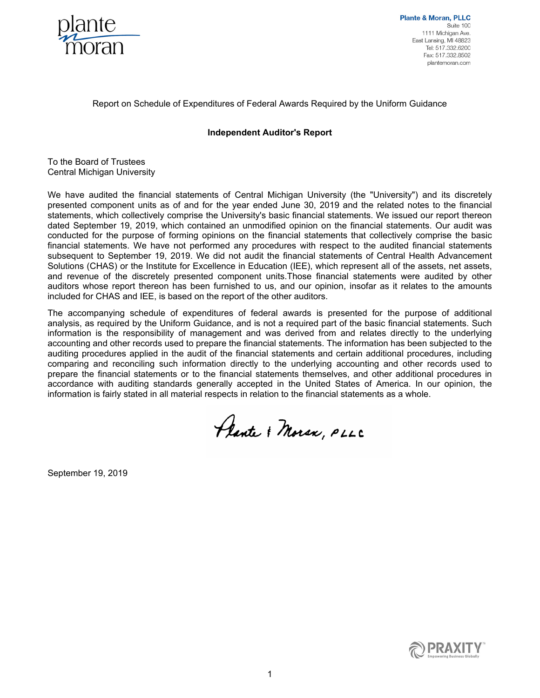

**Plante & Moran, PLLC** Suite 100 1111 Michigan Ave. East Lansing, MI 48823 Tel: 517.332.6200 Fax: 517.332.8502 plantemoran.com

### Report on Schedule of Expenditures of Federal Awards Required by the Uniform Guidance

### **Independent Auditor's Report**

To the Board of Trustees Central Michigan University

We have audited the financial statements of Central Michigan University (the "University") and its discretely presented component units as of and for the year ended June 30, 2019 and the related notes to the financial statements, which collectively comprise the University's basic financial statements. We issued our report thereon dated September 19, 2019, which contained an unmodified opinion on the financial statements. Our audit was conducted for the purpose of forming opinions on the financial statements that collectively comprise the basic financial statements. We have not performed any procedures with respect to the audited financial statements subsequent to September 19, 2019. We did not audit the financial statements of Central Health Advancement Solutions (CHAS) or the Institute for Excellence in Education (IEE), which represent all of the assets, net assets, and revenue of the discretely presented component units.Those financial statements were audited by other auditors whose report thereon has been furnished to us, and our opinion, insofar as it relates to the amounts included for CHAS and IEE, is based on the report of the other auditors.

The accompanying schedule of expenditures of federal awards is presented for the purpose of additional analysis, as required by the Uniform Guidance, and is not a required part of the basic financial statements. Such information is the responsibility of management and was derived from and relates directly to the underlying accounting and other records used to prepare the financial statements. The information has been subjected to the auditing procedures applied in the audit of the financial statements and certain additional procedures, including comparing and reconciling such information directly to the underlying accounting and other records used to prepare the financial statements or to the financial statements themselves, and other additional procedures in accordance with auditing standards generally accepted in the United States of America. In our opinion, the information is fairly stated in all material respects in relation to the financial statements as a whole.

Plante & Moran, PLLC

September 19, 2019

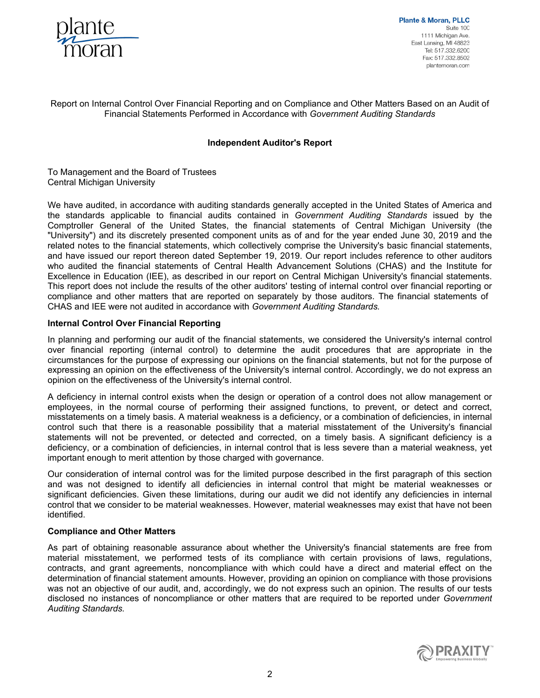

**Plante & Moran, PLLC** Suite 100 1111 Michigan Ave. East Lansing, MI 48823 Tel: 517.332.6200 Fax: 517.332.8502 plantemoran.com

### Report on Internal Control Over Financial Reporting and on Compliance and Other Matters Based on an Audit of Financial Statements Performed in Accordance with *Government Auditing Standards*

### **Independent Auditor's Report**

To Management and the Board of Trustees Central Michigan University

We have audited, in accordance with auditing standards generally accepted in the United States of America and the standards applicable to financial audits contained in *Government Auditing Standards* issued by the Comptroller General of the United States, the financial statements of Central Michigan University (the "University") and its discretely presented component units as of and for the year ended June 30, 2019 and the related notes to the financial statements, which collectively comprise the University's basic financial statements, and have issued our report thereon dated September 19, 2019. Our report includes reference to other auditors who audited the financial statements of Central Health Advancement Solutions (CHAS) and the Institute for Excellence in Education (IEE), as described in our report on Central Michigan University's financial statements. This report does not include the results of the other auditors' testing of internal control over financial reporting or compliance and other matters that are reported on separately by those auditors. The financial statements of CHAS and IEE were not audited in accordance with *Government Auditing Standards.*

#### **Internal Control Over Financial Reporting**

In planning and performing our audit of the financial statements, we considered the University's internal control over financial reporting (internal control) to determine the audit procedures that are appropriate in the circumstances for the purpose of expressing our opinions on the financial statements, but not for the purpose of expressing an opinion on the effectiveness of the University's internal control. Accordingly, we do not express an opinion on the effectiveness of the University's internal control.

A deficiency in internal control exists when the design or operation of a control does not allow management or employees, in the normal course of performing their assigned functions, to prevent, or detect and correct, misstatements on a timely basis. A material weakness is a deficiency, or a combination of deficiencies, in internal control such that there is a reasonable possibility that a material misstatement of the University's financial statements will not be prevented, or detected and corrected, on a timely basis. A significant deficiency is a deficiency, or a combination of deficiencies, in internal control that is less severe than a material weakness, yet important enough to merit attention by those charged with governance.

Our consideration of internal control was for the limited purpose described in the first paragraph of this section and was not designed to identify all deficiencies in internal control that might be material weaknesses or significant deficiencies. Given these limitations, during our audit we did not identify any deficiencies in internal control that we consider to be material weaknesses. However, material weaknesses may exist that have not been identified.

#### **Compliance and Other Matters**

As part of obtaining reasonable assurance about whether the University's financial statements are free from material misstatement, we performed tests of its compliance with certain provisions of laws, regulations, contracts, and grant agreements, noncompliance with which could have a direct and material effect on the determination of financial statement amounts. However, providing an opinion on compliance with those provisions was not an objective of our audit, and, accordingly, we do not express such an opinion. The results of our tests disclosed no instances of noncompliance or other matters that are required to be reported under *Government Auditing Standards.* 

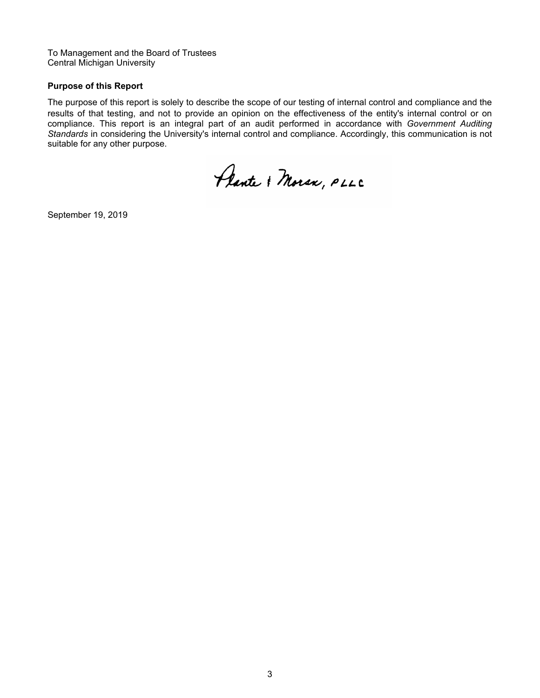To Management and the Board of Trustees Central Michigan University

### **Purpose of this Report**

The purpose of this report is solely to describe the scope of our testing of internal control and compliance and the results of that testing, and not to provide an opinion on the effectiveness of the entity's internal control or on compliance. This report is an integral part of an audit performed in accordance with *Government Auditing Standards* in considering the University's internal control and compliance. Accordingly, this communication is not suitable for any other purpose.

Plante & Moran, PLLC

September 19, 2019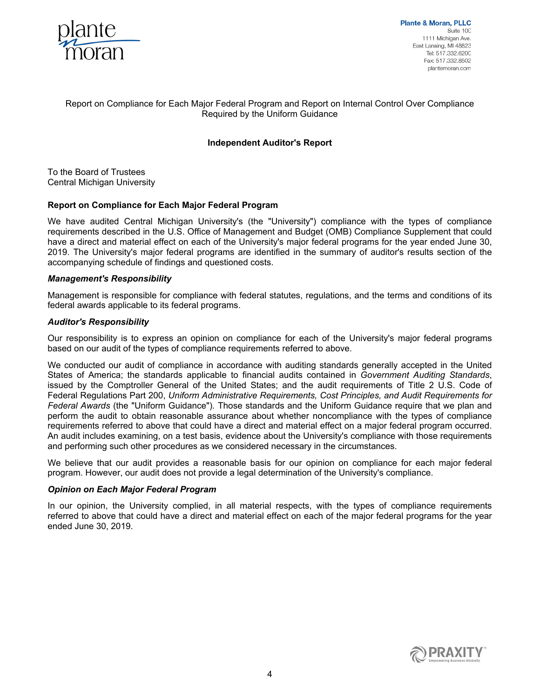

**Plante & Moran, PLLC** Suite 100 1111 Michigan Ave. East Lansing, MI 48823 Tel: 517.332.6200 Fax: 517.332.8502 plantemoran.com

### Report on Compliance for Each Major Federal Program and Report on Internal Control Over Compliance Required by the Uniform Guidance

### **Independent Auditor's Report**

To the Board of Trustees Central Michigan University

#### **Report on Compliance for Each Major Federal Program**

We have audited Central Michigan University's (the "University") compliance with the types of compliance requirements described in the U.S. Office of Management and Budget (OMB) Compliance Supplement that could have a direct and material effect on each of the University's major federal programs for the year ended June 30, 2019. The University's major federal programs are identified in the summary of auditor's results section of the accompanying schedule of findings and questioned costs.

#### *Management's Responsibility*

Management is responsible for compliance with federal statutes, regulations, and the terms and conditions of its federal awards applicable to its federal programs.

#### *Auditor's Responsibility*

Our responsibility is to express an opinion on compliance for each of the University's major federal programs based on our audit of the types of compliance requirements referred to above.

We conducted our audit of compliance in accordance with auditing standards generally accepted in the United States of America; the standards applicable to financial audits contained in *Government Auditing Standards*, issued by the Comptroller General of the United States; and the audit requirements of Title 2 U.S. Code of Federal Regulations Part 200, *Uniform Administrative Requirements, Cost Principles, and Audit Requirements for Federal Awards* (the "Uniform Guidance")*.* Those standards and the Uniform Guidance require that we plan and perform the audit to obtain reasonable assurance about whether noncompliance with the types of compliance requirements referred to above that could have a direct and material effect on a major federal program occurred. An audit includes examining, on a test basis, evidence about the University's compliance with those requirements and performing such other procedures as we considered necessary in the circumstances.

We believe that our audit provides a reasonable basis for our opinion on compliance for each major federal program. However, our audit does not provide a legal determination of the University's compliance.

#### *Opinion on Each Major Federal Program*

In our opinion, the University complied, in all material respects, with the types of compliance requirements referred to above that could have a direct and material effect on each of the major federal programs for the year ended June 30, 2019.

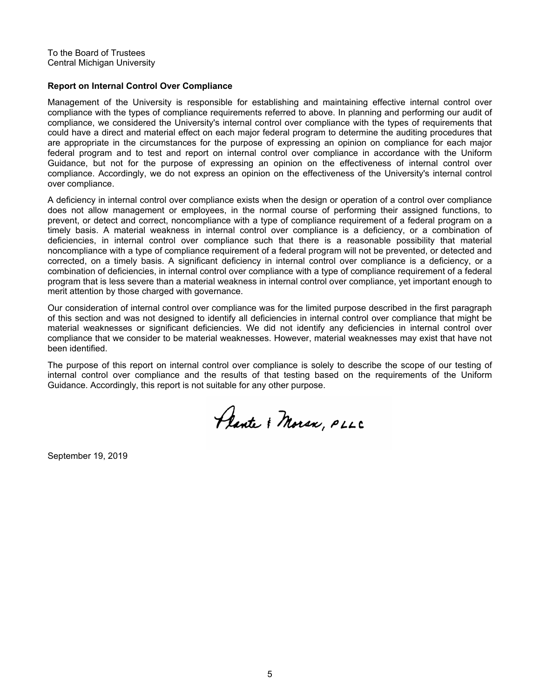To the Board of Trustees Central Michigan University

#### **Report on Internal Control Over Compliance**

Management of the University is responsible for establishing and maintaining effective internal control over compliance with the types of compliance requirements referred to above. In planning and performing our audit of compliance, we considered the University's internal control over compliance with the types of requirements that could have a direct and material effect on each major federal program to determine the auditing procedures that are appropriate in the circumstances for the purpose of expressing an opinion on compliance for each major federal program and to test and report on internal control over compliance in accordance with the Uniform Guidance, but not for the purpose of expressing an opinion on the effectiveness of internal control over compliance. Accordingly, we do not express an opinion on the effectiveness of the University's internal control over compliance.

A deficiency in internal control over compliance exists when the design or operation of a control over compliance does not allow management or employees, in the normal course of performing their assigned functions, to prevent, or detect and correct, noncompliance with a type of compliance requirement of a federal program on a timely basis. A material weakness in internal control over compliance is a deficiency, or a combination of deficiencies, in internal control over compliance such that there is a reasonable possibility that material noncompliance with a type of compliance requirement of a federal program will not be prevented, or detected and corrected, on a timely basis. A significant deficiency in internal control over compliance is a deficiency, or a combination of deficiencies, in internal control over compliance with a type of compliance requirement of a federal program that is less severe than a material weakness in internal control over compliance, yet important enough to merit attention by those charged with governance.

Our consideration of internal control over compliance was for the limited purpose described in the first paragraph of this section and was not designed to identify all deficiencies in internal control over compliance that might be material weaknesses or significant deficiencies. We did not identify any deficiencies in internal control over compliance that we consider to be material weaknesses. However, material weaknesses may exist that have not been identified.

The purpose of this report on internal control over compliance is solely to describe the scope of our testing of internal control over compliance and the results of that testing based on the requirements of the Uniform Guidance. Accordingly, this report is not suitable for any other purpose.

Plante & Moran, PLLC

September 19, 2019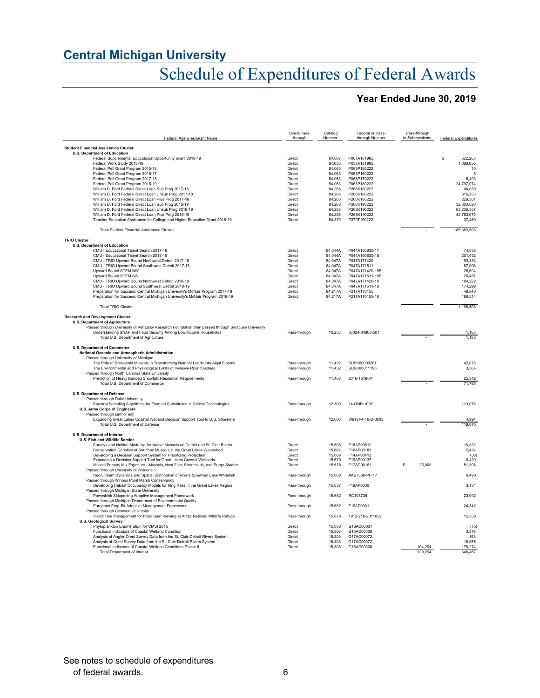# Schedule of Expenditures of Federal Awards

## **Year Ended June 30, 2019**

| Federal Agencies/Grant Name                                                                              | Direct/Pass-<br>through | Catalog<br>Number | Federal or Pass-<br>through Number | Pass-through<br>to Subrecipients | <b>Federal Expenditures</b> |
|----------------------------------------------------------------------------------------------------------|-------------------------|-------------------|------------------------------------|----------------------------------|-----------------------------|
| <b>Student Financial Assistance Cluster</b>                                                              |                         |                   |                                    |                                  |                             |
| <b>U.S. Department of Education</b>                                                                      |                         |                   |                                    |                                  |                             |
| Federal Supplemental Educational Opportunity Grant 2018-19                                               | Direct                  | 84.007            | P007A181985                        |                                  | \$.<br>522,265              |
| Federal Work Study 2018-19                                                                               | Direct                  | 84.033            | P033A181985                        |                                  | 1,088,056                   |
| Federal Pell Grant Program 2015-16                                                                       | Direct                  | 84.063            | P063P150222                        |                                  | 10                          |
| Federal Pell Grant Program 2016-17                                                                       | Direct<br>Direct        | 84.063            | P063P160222<br>P063P170222         |                                  | 5<br>5.403                  |
| Federal Pell Grant Program 2017-18<br>Federal Pell Grant Program 2018-19                                 | Direct                  | 84.063<br>84.063  | P063P180222                        |                                  | 24,797,074                  |
| William D. Ford Federal Direct Loan Sub Prog 2017-18                                                     | Direct                  | 84.268            | P268K180222                        |                                  | 48.039                      |
| William D. Ford Federal Direct Loan Unsub Prog 2017-18                                                   | Direct                  | 84.268            | P268K180222                        |                                  | 315,253                     |
| William D. Ford Federal Direct Loan Plus Prog 2017-18                                                    | Direct                  | 84.268            | P268K180222                        |                                  | 226,381                     |
| William D. Ford Federal Direct Loan Sub Prog 2018-19                                                     | Direct                  | 84.268            | P268K190222                        |                                  | 32,303,620                  |
| William D. Ford Federal Direct Loan Unsub Prog 2018-19                                                   | Direct                  | 84.268            | P268K190222                        |                                  | 83,236,357                  |
| William D. Ford Federal Direct Loan Plus Prog 2018-19                                                    | Direct                  | 84.268            | P268K190222                        |                                  | 42.783.670                  |
| Teacher Education Assistance for College and Higher Education Grant 2018-19                              | Direct                  | 84.379            | P379T190222                        |                                  | 37,460                      |
| <b>Total Student Financial Assistance Cluster</b>                                                        |                         |                   |                                    |                                  | 185,363,593                 |
| <b>TRIO Cluster</b>                                                                                      |                         |                   |                                    |                                  |                             |
| U.S. Department of Education                                                                             |                         |                   |                                    |                                  |                             |
| CMU - Educational Talent Search 2017-18                                                                  | Direct                  | 84.044A           | P044A160830-17                     |                                  | 74.856                      |
| CMU - Educational Talent Search 2018-19                                                                  | Direct                  | 84.044A           | P044A160830-18                     |                                  | 201,452                     |
| CMU - TRIO Upward Bound Northwest Detroit 2017-18                                                        | Direct                  | 84.047A           | P047A171420                        |                                  | 93,333                      |
| CMU - TRIO Upward Bound Southwest Detroit 2017-18                                                        | Direct                  | 84.047A           | P047A171511                        |                                  | 87,006                      |
| Upward Bound STEM NW                                                                                     | Direct                  | 84.047A           | P047A171420-18B                    |                                  | 26,694                      |
| Upward Bound STEM SW                                                                                     | Direct                  | 84.047A           | P047A171511-18B                    |                                  | 26,487                      |
| CMU - TRIO Upward Bound Northwest Detroit 2018-19                                                        | Direct                  | 84.047A           | P047A171420-18                     |                                  | 184,222                     |
| CMU - TRIO Upward Bound Southwest Detroit 2018-19                                                        | Direct                  | 84.047A           | P047A171511-18                     |                                  | 174.299                     |
| Preparation for Success: Central Michigan Universty's McNair Program 2017-18                             | Direct                  | 84.217A           | P217A170155                        |                                  | 49,840                      |
| Preparation for Success: Central Michigan University's McNair Program 2018-19                            | Direct                  | 84.217A           | P217A170155-18                     |                                  | 188.314                     |
| <b>Total TRIO Cluster</b>                                                                                |                         |                   |                                    |                                  | 1,106,503                   |
| <b>Research and Development Cluster</b>                                                                  |                         |                   |                                    |                                  |                             |
| <b>U.S. Department of Agriculture</b>                                                                    |                         |                   |                                    |                                  |                             |
| Passed through University of Kentucky Research Foundation then passed through Syracuse University        |                         |                   |                                    |                                  |                             |
| Understanding SNAP and Food Security Among Low-Income Households<br>Total U.S. Department of Agriculture | Pass-through            | 10.253            | 30024-04808-501                    |                                  | 1,185<br>1,185              |
| <b>U.S. Department of Commerce</b>                                                                       |                         |                   |                                    |                                  |                             |
| National Oceanic and Atmospheric Administration                                                          |                         |                   |                                    |                                  |                             |
| Passed through University of Michigan                                                                    |                         |                   |                                    |                                  |                             |
| The Role of Dreissenid Mussels in Transforming Nutrient Loads into Algal Blooms                          | Pass-through            | 11.432            | SUBK00009207                       |                                  | 42,878                      |
| The Environmental and Physiological Limits of Invasive Round Gobies                                      | Pass-through            | 11.432            | SUBK00011193                       |                                  | 3,565                       |
| Passed through North Carolina State University                                                           |                         |                   |                                    |                                  |                             |
| Prediction of Heavy Banded Snowfall: Resolution Requirements                                             | Pass-through            | 11.468            | 2016-1519-01                       |                                  | 25,342                      |
| Total U.S. Department of Commerce                                                                        |                         |                   |                                    |                                  | 71,785                      |
| <b>U.S. Department of Defense</b>                                                                        |                         |                   |                                    |                                  |                             |
| Passed through Duke University                                                                           |                         |                   |                                    |                                  |                             |
| Spectral Sampling Algorithms for Element Substitution in Critical Technologies                           | Pass-through            | 12.300            | 14-ONR-1007                        |                                  | 113,076                     |
| U.S. Army Corps of Engineers                                                                             |                         |                   |                                    |                                  |                             |
| Passed through LimnoTech                                                                                 |                         |                   |                                    |                                  |                             |
| Expanding Great Lakes Coastal Wetland Decision Support Tool to U.S. Shoreline                            | Pass-through            | 12.000            | W912P4-16-D-0003                   |                                  | 4,994                       |
| Total U.S. Department of Defense                                                                         |                         |                   |                                    |                                  | 118.070                     |
| U.S. Department of Interior                                                                              |                         |                   |                                    |                                  |                             |
| U.S. Fish and Wildlife Service                                                                           |                         |                   |                                    |                                  |                             |
| Surveys and Habitat Modeling for Native Mussels on Detroit and St. Clair Rivers                          | Direct                  | 15.608            | F18AP00612                         |                                  | 10,832                      |
| Conservation Genetics of Snuffbox Mussels in the Great Lakes Watershed                                   | Direct                  | 15.662            | F16AP00183                         |                                  | 5,424                       |
| Developing a Decision Support System for Prioritizing Protection                                         | Direct                  | 15.669            | F14AP00412                         |                                  | (30)                        |
| Expanding a Decision Support Tool for Great Lakes Coastal Wetlands                                       | Direct                  | 15.670            | F19AP00137                         |                                  | 8,429                       |
| Mussel Primary Mix Exposure - Mussels, Host Fish, Streamside, and Purge Studies                          | Direct                  | 15.678            | F17AC00151                         | 25,000<br>s                      | 51,398                      |
| Passed through University of Wisconsin                                                                   |                         |                   |                                    |                                  |                             |
| Recruitment Dynamics and Spatial Distribution of Rivers Spawned Lake Whitefish                           | Pass-through            | 15.608            | AAB7568-PF-17                      |                                  | 6,490                       |
| Passed through Winous Point Marsh Conservancy                                                            |                         |                   |                                    |                                  |                             |
| Developing Habitat Occupancy Models for King Rails in the Great Lakes Region                             | Pass-through            | 15.637            | F19AP0030                          |                                  | 3,151                       |
| Passed through Michigan State University                                                                 |                         |                   |                                    |                                  |                             |
| Poweshiek Skipperling Adaptive Management Framework                                                      | Pass-through            | 15.662            | RC108738                           |                                  | 23,092                      |
| Passed through Michigan Department of Environmental Quality                                              |                         |                   |                                    |                                  |                             |
| European Frog-Bit Adaptive Management Framework<br>Passed through Clemson University                     | Pass-through            | 15.662            | F19AP0031                          |                                  | 24,342                      |
| Visitor Use Management for Polar Bear Viewing at Arctic National Wildlife Refuge                         | Pass-through            | 15.678            | 1912-216-2011802                   |                                  | 15,536                      |
| <b>U.S. Geological Survey</b>                                                                            |                         |                   |                                    |                                  |                             |
| Phytoplankton Enumeration for CMSI 2015                                                                  | Direct                  | 15.808            | G16AC00031                         |                                  | (75)                        |
| Functional Indicators of Coastal Wetland Condition                                                       | Direct                  | 15,808            | G16AC00308                         |                                  | 3,376                       |
| Analysis of Angler Creel Survey Data from the St. Clair-Detroit Rivers System                            | Direct                  | 15,808            | G17AC00072                         |                                  | 163                         |
| Analysis of Creel Survey Data from the St. Clair-Detroit Rivers System                                   | Direct                  | 15.808            | G17AC00072                         |                                  | 16,055                      |
| Functional Indicators of Coastal Wetland Conditions-Phase II                                             | <b>Direct</b>           | 15.808            | G16AC00308                         | 104.294                          | 178.274                     |
| <b>Total Department of Interior</b>                                                                      |                         |                   |                                    | 129,294                          | 346,457                     |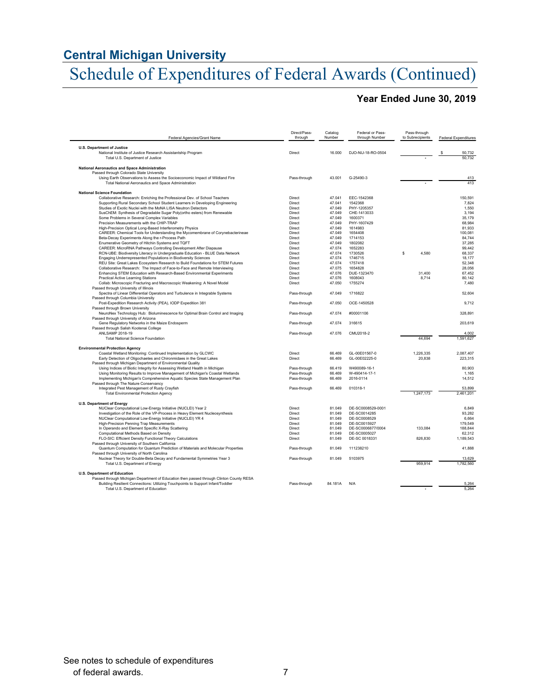# Schedule of Expenditures of Federal Awards (Continued)

## **Year Ended June 30, 2019**

| Federal Agencies/Grant Name                                                                                                         | Direct/Pass-<br>through | Catalog<br>Number | Federal or Pass-<br>through Number | Pass-through<br>to Subrecipients | <b>Federal Expenditures</b> |
|-------------------------------------------------------------------------------------------------------------------------------------|-------------------------|-------------------|------------------------------------|----------------------------------|-----------------------------|
|                                                                                                                                     |                         |                   |                                    |                                  |                             |
| U.S. Department of Justice<br>National Institute of Justice Research Assistantship Program                                          | Direct                  | 16.000            | DJO-NIJ-18-RO-0504                 |                                  | 50,732                      |
| Total U.S. Department of Justice                                                                                                    |                         |                   |                                    |                                  | 50.732                      |
| National Aeronautics and Space Administration                                                                                       |                         |                   |                                    |                                  |                             |
| Passed through Colorado State University                                                                                            |                         |                   |                                    |                                  |                             |
| Using Earth Observations to Assess the Socioeconomic Impact of Wildland Fire<br>Total National Aeronautics and Space Administration | Pass-through            | 43.001            | G-25490-3                          |                                  | 413<br>413                  |
| <b>National Science Foundation</b>                                                                                                  |                         |                   |                                    |                                  |                             |
| Collaborative Research: Enriching the Professional Dev. of School Teachers                                                          | Direct                  | 47.041            | EEC-1542368                        |                                  | 150.591                     |
| Supporting Rural Secondary School Student Learners in Developing Engineering                                                        | Direct                  | 47.041            | 1542368                            |                                  | 7,824                       |
| Studies of Exotic Nuclei with the MoNA LISA Neutron Detectors                                                                       | Direct                  | 47.049            | PHY-1205357                        |                                  | 1,550                       |
| SusChEM: Synthesis of Degradable Sugar Poly(ortho esters) from Renewable                                                            | Direct                  | 47.049            | CHE-1413033                        |                                  | 3.194                       |
| Some Problems in Several Complex Variables                                                                                          | Direct                  | 47.049            | 1600371                            |                                  | 35.179                      |
| Precision Measurements with the CHIP-TRAP<br>High-Precision Optical Long-Based Interferometry Physics                               | Direct<br>Direct        | 47.049<br>47.049  | PHY-1607429<br>1614983             |                                  | 68.984<br>81,933            |
| CAREER: Chemical Tools for Understanding the Mycomembrane of Corynebacterineae                                                      | Direct                  | 47.049            | 1654408                            |                                  | 100,081                     |
| Beta-Decay Experiments Along the r-Process Path                                                                                     | Direct                  | 47.049            | 1714153                            |                                  | 84,744                      |
| Enumerative Geometry of Hitchin Systems and TQFT                                                                                    | Direct                  | 47.049            | 1802082                            |                                  | 37,285                      |
| CAREER: MicroRNA Pathways Controlling Development After Diapause                                                                    | Direct                  | 47.074            | 1652283                            |                                  | 99.442                      |
| RCN-UBE: Biodiversity Literacy in Undergraduate Education - BLUE Data Network                                                       | Direct                  | 47.074            | 1730526                            | \$<br>4,580                      | 68,337                      |
| Engaging Underrepresented Populations in Biodiversity Sciences                                                                      | Direct                  | 47.074            | 1746715                            |                                  | 18,177                      |
| REU Site: Great Lakes Ecosystem Research to Build Foundations for STEM Futures                                                      | Direct                  | 47.074            | 1757418                            |                                  | 52,348                      |
| Collaborative Research: The Impact of Face-to-Face and Remote Interviewing                                                          | Direct                  | 47.075            | 1654828                            |                                  | 28.056                      |
| Enhancing STEM Education with Research-Based Environmental Experiments                                                              | Direct                  | 47.076            | DUE-1323470                        | 31,400                           | 67,452                      |
| <b>Practical Active Learning Stations</b>                                                                                           | Direct                  | 47.076            | 1608043                            | 8,714                            | 80,142                      |
| Collab: Microscopic Fracturing and Macroscopic Weakening: A Novel Model<br>Passed through University of Illinois                    | Direct                  | 47.050            | 1755274                            |                                  | 7,480                       |
| Spectra of Linear Differential Operators and Turbulence in Integrable Systems                                                       | Pass-through            | 47.049            | 1716822                            |                                  | 52,604                      |
| Passed through Columbia University<br>Post-Expedition Research Activity (PEA), IODP Expedition 381                                  | Pass-through            | 47.050            | OCE-1450528                        |                                  | 9.712                       |
| Passed through Brown University<br>NeuroNex Technology Hub: Bioluminescence for Optimal Brain Control and Imaging                   | Pass-through            | 47.074            | #00001106                          |                                  | 328.891                     |
| Passed through University of Arizona<br>Gene Regulatory Networks in the Maize Endosperm                                             | Pass-through            | 47.074            | 316615                             |                                  | 203,619                     |
| Passed through Salish Kootenai College<br>ANLSAMP 2018-19                                                                           | Pass-through            | 47.076            | CMU2018-2                          |                                  | 4,002                       |
| <b>Total National Science Foundation</b>                                                                                            |                         |                   |                                    | 44.694                           | 1.591.627                   |
| <b>Environmental Protection Agency</b>                                                                                              |                         |                   |                                    |                                  |                             |
| Coastal Wetland Monitoring: Continued Implementation by GLCWC                                                                       | Direct                  | 66.469            | GL-00E01567-0                      | 1,226,335                        | 2,087,407                   |
| Early Detection of Oligochaetes and Chironmidaes in the Great Lakes<br>Passed through Michigan Department of Environmental Quality  | Direct                  | 66.469            | GL-00E02225-0                      | 20.838                           | 223.315                     |
| Using Indices of Biotic Integrity for Assessing Wetland Health in Michigan                                                          | Pass-through            | 66.419            | W490089-16-1                       |                                  | 80,903                      |
| Using Monitoring Results to Improve Management of Michigan's Coastal Wetlands                                                       | Pass-through            | 66.469            | W-490414-17-1                      |                                  | 1,165                       |
| Implementing Michigan's Comprehensive Aquatic Species State Management Plan<br>Passed through The Nature Conservancy                | Pass-through            | 66.469            | 2016-0114                          |                                  | 14,512                      |
| Integrated Pest Management of Rusty Crayfish                                                                                        | Pass-through            | 66.469            | 010318-1                           |                                  | 53,899                      |
| <b>Total Environmental Protection Agency</b>                                                                                        |                         |                   |                                    | 1.247.173                        | 2.461.201                   |
| <b>U.S. Department of Energy</b>                                                                                                    |                         |                   |                                    |                                  |                             |
| NUClear Computational Low-Energy Initiative (NUCLEI) Year 2                                                                         | Direct<br>Direct        | 81.049<br>81.049  | DE-SC0008529-0001<br>DE-SC0014285  |                                  | 6.849<br>93.282             |
| Investigation of the Role of the VP-Process in Heavy Element Nucleosynthesis                                                        |                         |                   |                                    |                                  |                             |
| NUClear Computational Low-Energy Initiative (NUCLEI) YR 4                                                                           | Direct                  | 81.049            | DE-SC0008529                       |                                  | 6,664                       |
| High-Precision Penning Trap Measurements                                                                                            | Direct                  | 81.049            | DE-SC0015927                       |                                  | 179,549                     |
| In Operando and Element Specific X-Ray Scattering<br>Computational Methods Based on Density                                         | Direct<br>Direct        | 81.049<br>81.049  | DE-SC0006877/0004<br>DE-SC0005027  | 133,084                          | 188,844<br>62,312           |
| FLO-SIC: Efficient Density Functional Theory Calculations                                                                           | Direct                  | 81.049            | DE-SC 0018331                      | 826,830                          | 1,189,543                   |
| Passed through University of Southern California                                                                                    |                         |                   |                                    |                                  |                             |
| Quantum Computation for Quantum Prediction of Materials and Molecular Properties                                                    | Pass-through            | 81.049            | 111238210                          |                                  | 41.888                      |
| Passed through University of North Carolina                                                                                         |                         |                   |                                    |                                  |                             |
| Nuclear Theory for Double-Beta Decay and Fundamental Symmetries Year 3<br>Total U.S. Department of Energy                           | Pass-through            | 81.049            | 5103975                            | 959,914                          | 13,629<br>1,782,560         |
|                                                                                                                                     |                         |                   |                                    |                                  |                             |
| <b>U.S. Department of Education</b><br>Passed through Michigan Department of Education then passed through Clinton County RESA      |                         |                   |                                    |                                  |                             |
| Building Resilient Connections: Utilizing Touchpoints to Support Infant/Toddler                                                     | Pass-through            | 84.181A           | N/A                                |                                  | 5,264                       |
| Total U.S. Department of Education                                                                                                  |                         |                   |                                    |                                  | 5.264                       |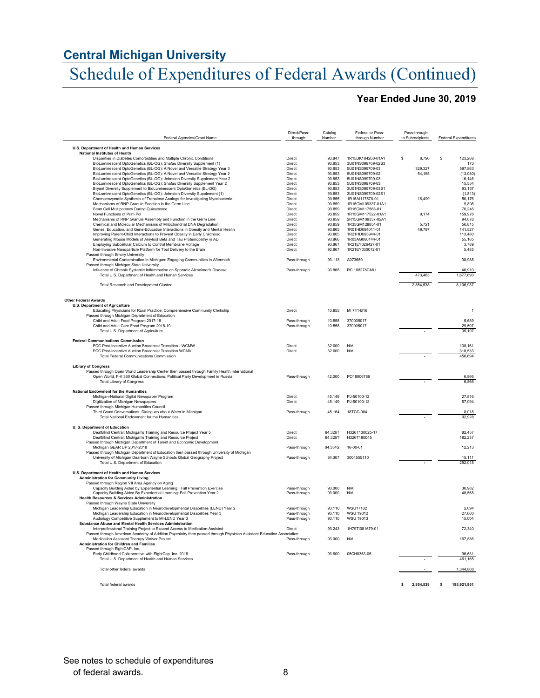# Schedule of Expenditures of Federal Awards (Continued)

## **Year Ended June 30, 2019**

| Federal Agencies/Grant Name                                                                                                                        | Direct/Pass-<br>through | Catalog<br>Number | Federal or Pass-<br>through Number     | Pass-through<br>to Subrecipients | <b>Federal Expenditures</b> |
|----------------------------------------------------------------------------------------------------------------------------------------------------|-------------------------|-------------------|----------------------------------------|----------------------------------|-----------------------------|
| U.S. Department of Health and Human Services                                                                                                       |                         |                   |                                        |                                  |                             |
| <b>National Institutes of Health</b>                                                                                                               |                         |                   |                                        |                                  |                             |
| Disparities in Diabetes Comorbidities and Multiple Chronic Conditions                                                                              | Direct                  | 93.847<br>93.853  | 1R15DK104260-01A1<br>3U01NS099709-02S3 | 8,790<br>s                       | 123,268<br>\$               |
| BioLuminescent OptoGenetics (BL-OG): Shafau Diversity Supplement (1)<br>BioLuminescent OptoGenetics (BL-OG): A Novel and Versatile Strategy Year 3 | Direct<br>Direct        | 93.853            | 5U01NS099709-03                        | 329,327                          | 173<br>597,863              |
| BioLuminescent OptoGenetics (BL-OG): A Novel and Versatile Strategy Year 2                                                                         | Direct                  | 93.853            | 5U01NS099709-02                        | 54.155                           | (13,080)                    |
| BioLuminescent OptoGenetics (BL-OG): Johnston Diversity Supplement Year 2                                                                          | Direct                  | 93.853            | 5U01NS099709-03                        |                                  | 16.146                      |
| BioLuminescent OptoGenetics (BL-OG): Shafau Diversity Supplement Year 2                                                                            | Direct                  | 93.853            | 5U01NS099709-03                        |                                  | 15,554                      |
| Bryant Diversity Supplement to BioLuminescent OptoGenetics (BL-OG)                                                                                 | Direct                  | 93.853            | 3U01NS099709-03S1                      |                                  | 93,137                      |
| BioLuminescent OptoGenetics (BL-OG): Johnston Diversity Supplement (1)                                                                             | Direct                  | 93.853            | 3U01NS099709-02S1                      |                                  | (1.813)                     |
| Chemoenzymatic Synthesis of Trehalose Analogs for Investigating Mycobacteria                                                                       | Direct                  | 93.855            | 1R15AI117670-01                        | 16.499                           | 50,176                      |
| Mechanisms of RNP Granule Function in the Germ Line                                                                                                | Direct                  | 93.859            | 1R15GM109337-01A1                      |                                  | 9,808                       |
| Stem Cell Multipotency During Quiescence                                                                                                           | Direct                  | 93.859            | 1R15GM117568-01                        |                                  | 70.246                      |
| Novel Functions of Prim Pol.                                                                                                                       | Direct                  | 93.859            | 1R15GM117522-01A1                      | 9.174                            | 159.978                     |
| Mechanisms of RNP Granule Assembly and Function in the Germ Line                                                                                   | Direct                  | 93.859            | 2R15GM109337-02A1                      |                                  | 94,078                      |
| Chemical and Molecular Mechanisms of Mitochondrial DNA Degradation                                                                                 | Direct                  | 93.859            | 1R35GM128854-01                        | 5.721                            | 56.815                      |
| Genes, Education, and Gene-Education Interactions in Obesity and Mental Health                                                                     | Direct                  | 93.865            | 1R01HD094011-01                        | 49,797                           | 141,527                     |
| Improving Parent-Child Interactions to Prevent Obesity in Early Childhood                                                                          | Direct                  | 93.865            | 1R21HD093944-01                        |                                  | 113,480                     |
| Generating Mouse Models of Amyloid Beta and Tau Proteinopathy in AD                                                                                | Direct                  | 93.866            | 1R03AG060144-01                        |                                  | 55.165                      |
| Employing Subcellular Calcium to Control Membrane Voltage                                                                                          | Direct                  | 93.867            | 1R21EY026427-01                        |                                  | 3,789                       |
| Non-Invasive Nanoparticle Platform for Tool Delivery to the Brain                                                                                  | Direct                  | 93.867            | 1R21EY030012-01                        |                                  | 5,485                       |
| Passed through Emory University                                                                                                                    |                         |                   |                                        |                                  |                             |
| Environmental Contamination in Michigan: Engaging Communities in Aftermath                                                                         | Pass-through            | 93.113            | A073659                                |                                  | 38,988                      |
| Passed through Michigan State University                                                                                                           |                         |                   |                                        |                                  |                             |
| Influence of Chronic Systemic Inflammation on Sporadic Alzheimer's Disease                                                                         | Pass-through            | 93.866            | <b>RC 108278CMU</b>                    |                                  | 46,910                      |
| Total U.S. Department of Health and Human Services                                                                                                 |                         |                   |                                        | 473.463                          | 1,677,693                   |
|                                                                                                                                                    |                         |                   |                                        |                                  |                             |
| Total Research and Development Cluster                                                                                                             |                         |                   |                                        | 2,854,538                        | 8,106,987                   |
| <b>Other Federal Awards</b>                                                                                                                        |                         |                   |                                        |                                  |                             |
| U.S. Department of Agriculture                                                                                                                     |                         |                   |                                        |                                  |                             |
| Educating Physicians for Rural Practice: Comprehensive Community Clerkship                                                                         | Direct                  | 10.855            | MI 741-B16                             |                                  | $\mathbf{1}$                |
| Passed through Michigan Department of Education                                                                                                    |                         |                   |                                        |                                  |                             |
| Child and Adult Food Program 2017-18                                                                                                               | Pass-through            | 10.558            | 370005017                              |                                  | 5.689                       |
| Child and Adult Care Food Program 2018-19                                                                                                          | Pass-through            | 10.558            | 370005017                              |                                  | 29,507                      |
| Total U.S. Department of Agriculture                                                                                                               |                         |                   |                                        |                                  | 35,197                      |
|                                                                                                                                                    |                         |                   |                                        |                                  |                             |
| <b>Federal Communications Commission</b>                                                                                                           |                         |                   |                                        |                                  |                             |
| FCC Post-Incentive Auction Broadcast Transition - WCMW                                                                                             | Direct                  | 32.000            | N/A                                    |                                  | 138,161                     |
| FCC Post-Incentive Auction Broadcast Transition WCMV                                                                                               | Direct                  | 32,000            | N/A                                    |                                  | 318.533                     |
| <b>Total Federal Communications Commission</b>                                                                                                     |                         |                   |                                        |                                  | 456,694                     |
| <b>Library of Congress</b>                                                                                                                         |                         |                   |                                        |                                  |                             |
| Passed through Open World Leadership Center then passed through Family Health International                                                        |                         |                   |                                        |                                  |                             |
| Open World, FHI 360 Global Connections, Political Party Development in Russia                                                                      | Pass-through            | 42.000            | PO18006786                             |                                  | 6.866                       |
| <b>Total Library of Congress</b>                                                                                                                   |                         |                   |                                        |                                  | 6.866                       |
|                                                                                                                                                    |                         |                   |                                        |                                  |                             |
| National Endowment for the Humanities                                                                                                              |                         |                   |                                        |                                  |                             |
| Michigan-National Digital Newspaper Program                                                                                                        | Direct                  | 45.149            | P.I-50100-12                           |                                  | 27.816                      |
| Digitization of Michigan Newspapers                                                                                                                | Direct                  | 45.149            | PJ-50100-12                            |                                  | 57.094                      |
| Passed through Michigan Humanities Council                                                                                                         |                         |                   |                                        |                                  |                             |
| Third Coast Conversations: Dialogues about Water in Michigan                                                                                       | Pass-through            | 45.164            | 18TCC-004                              |                                  | 8.018                       |
| Total National Endowment for the Humanities                                                                                                        |                         |                   |                                        |                                  | 92,928                      |
|                                                                                                                                                    |                         |                   |                                        |                                  |                             |
| <b>U.S. Department of Education</b>                                                                                                                |                         |                   |                                        |                                  |                             |
| DeafBlind Central: Michigan's Training and Resource Project Year 5                                                                                 | Direct                  | 84.326T           | H326T130025-17                         |                                  | 82 457                      |
| DeafBlind Central: Michigan's Training and Resource Project                                                                                        | Direct                  | 84.326T           | H326T180045                            |                                  | 182,237                     |
| Passed through Michigan Department of Talent and Economic Development                                                                              |                         |                   |                                        |                                  |                             |
| Michigan GEAR UP 2017-2018                                                                                                                         | Pass-through            | 84.334S           | 16-00-01                               |                                  | 12,213                      |
| Passed through Michigan Department of Education then passed through University of Michigan                                                         |                         |                   |                                        |                                  |                             |
| University of Michigan Dearborn Wayne Schools Global Geography Project                                                                             | Pass-through            | 84.367            | 3004555110                             |                                  | 15.111                      |
| Total U.S. Department of Education                                                                                                                 |                         |                   |                                        |                                  | 292,018                     |
| U.S. Department of Health and Human Services                                                                                                       |                         |                   |                                        |                                  |                             |
|                                                                                                                                                    |                         |                   |                                        |                                  |                             |
| <b>Administration for Community Living</b><br>Passed through Region VII Area Agency on Aging                                                       |                         |                   |                                        |                                  |                             |
| Capacity Building Aided by Experiential Learning: Fall Prevention Exercise                                                                         | Pass-through            | 93.000            | N/A                                    |                                  | 30,982                      |
| Capacity Building Aided By Experiential Learning: Fall Prevention Year 2                                                                           | Pass-through            | 93.000            | N/A                                    |                                  | 48.568                      |
| <b>Health Resources &amp; Services Administration</b>                                                                                              |                         |                   |                                        |                                  |                             |
| Passed through Wayne State University                                                                                                              |                         |                   |                                        |                                  |                             |
| Michigan Leadership Education in Neurodevelopmental Disabilities (LEND) Year 2                                                                     | Pass-through            | 93.110            | WSU17102                               |                                  | 2.094                       |
| Michigan Leadership Education in Neurodevelopmental Disabilities Year 3                                                                            | Pass-through            | 93.110            | WSU 19012                              |                                  | 27,660                      |
| Audiology Competitive Supplement to MI-LEND Year 3                                                                                                 | Pass-through            | 93.110            | WSU 19013                              |                                  | 15,004                      |
| Substance Abuse and Mental Health Services Administration                                                                                          |                         |                   |                                        |                                  |                             |
| Interprofessional Training Project to Expand Access to Medication-Assisted                                                                         | Direct                  | 93.243            | 1H79TI081679-01                        |                                  | 72,340                      |
| Passed through American Academy of Addition Psychiatry then passed through Physician Assistant Education Association                               |                         |                   |                                        |                                  |                             |
| Medication Assistant Therapy Waiver Project                                                                                                        | Pass-through            | 93.000            | N/A                                    |                                  | 167.886                     |
| <b>Administration for Children and Families</b>                                                                                                    |                         |                   |                                        |                                  |                             |
| Passed through EightCAP, Inc.                                                                                                                      |                         |                   |                                        |                                  |                             |
| Early Childhood Collaborative with EightCap, Inc. 2018                                                                                             | Pass-through            | 93.600            | 05CH8363-05                            |                                  | 96.631                      |
| Total U.S. Department of Health and Human Services                                                                                                 |                         |                   |                                        |                                  | 461,165                     |
|                                                                                                                                                    |                         |                   |                                        |                                  |                             |
| Total other federal awards                                                                                                                         |                         |                   |                                        |                                  | 1,344,868                   |
|                                                                                                                                                    |                         |                   |                                        |                                  |                             |
| Total federal awards                                                                                                                               |                         |                   |                                        | 2,854,538                        | 195.921.951<br>\$.          |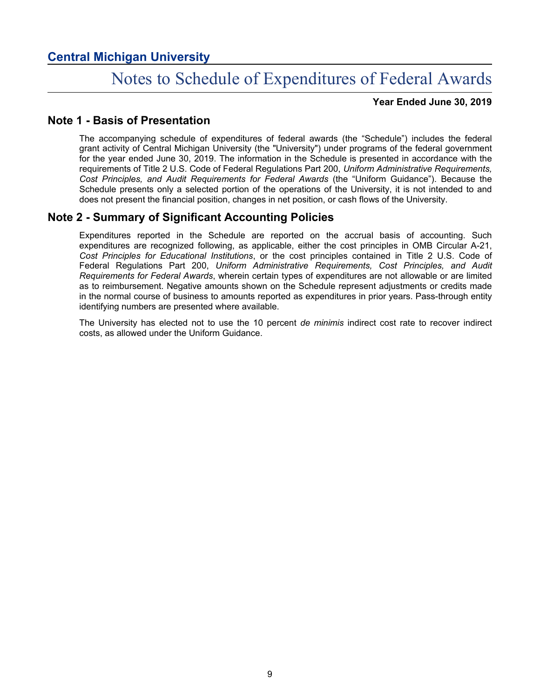# Notes to Schedule of Expenditures of Federal Awards

**Year Ended June 30, 2019**

## **Note 1 - Basis of Presentation**

The accompanying schedule of expenditures of federal awards (the "Schedule") includes the federal grant activity of Central Michigan University (the "University") under programs of the federal government for the year ended June 30, 2019. The information in the Schedule is presented in accordance with the requirements of Title 2 U.S. Code of Federal Regulations Part 200, *Uniform Administrative Requirements, Cost Principles, and Audit Requirements for Federal Awards* (the "Uniform Guidance"). Because the Schedule presents only a selected portion of the operations of the University, it is not intended to and does not present the financial position, changes in net position, or cash flows of the University.

## **Note 2 - Summary of Significant Accounting Policies**

Expenditures reported in the Schedule are reported on the accrual basis of accounting. Such expenditures are recognized following, as applicable, either the cost principles in OMB Circular A-21, *Cost Principles for Educational Institutions*, or the cost principles contained in Title 2 U.S. Code of Federal Regulations Part 200, *Uniform Administrative Requirements, Cost Principles, and Audit Requirements for Federal Awards*, wherein certain types of expenditures are not allowable or are limited as to reimbursement. Negative amounts shown on the Schedule represent adjustments or credits made in the normal course of business to amounts reported as expenditures in prior years. Pass-through entity identifying numbers are presented where available.

The University has elected not to use the 10 percent *de minimis* indirect cost rate to recover indirect costs, as allowed under the Uniform Guidance.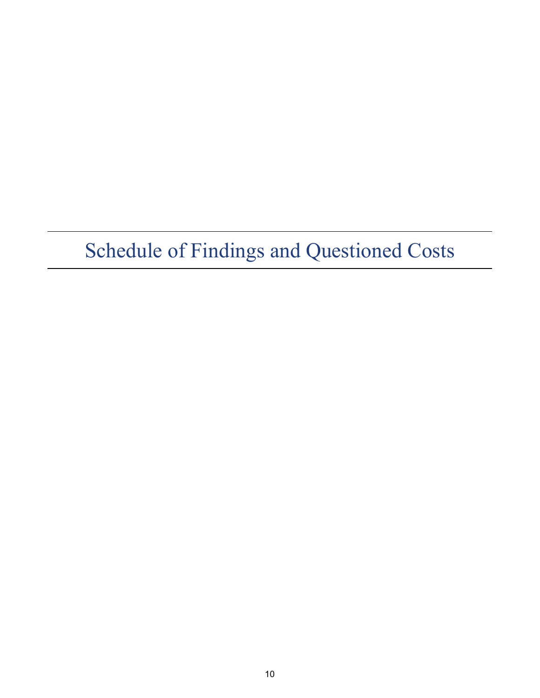# Schedule of Findings and Questioned Costs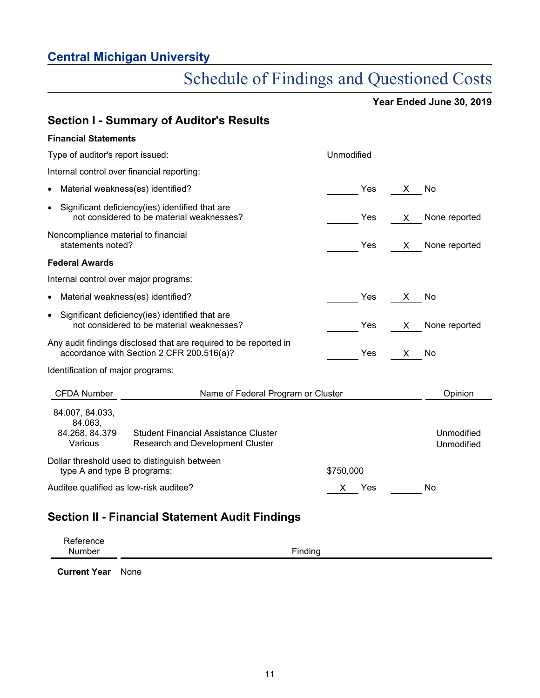# Schedule of Findings and Questioned Costs

**Year Ended June 30, 2019**

|                                                          | <b>Section I - Summary of Auditor's Results</b>                                                               |            |                          |
|----------------------------------------------------------|---------------------------------------------------------------------------------------------------------------|------------|--------------------------|
| <b>Financial Statements</b>                              |                                                                                                               |            |                          |
| Type of auditor's report issued:                         |                                                                                                               | Unmodified |                          |
| Internal control over financial reporting:               |                                                                                                               |            |                          |
| Material weakness(es) identified?<br>$\bullet$           |                                                                                                               | Yes        | No<br>X                  |
| $\bullet$                                                | Significant deficiency(ies) identified that are<br>not considered to be material weaknesses?                  | Yes        | None reported<br>X.      |
| Noncompliance material to financial<br>statements noted? |                                                                                                               | Yes        | None reported<br>X       |
| <b>Federal Awards</b>                                    |                                                                                                               |            |                          |
| Internal control over major programs:                    |                                                                                                               |            |                          |
| Material weakness(es) identified?<br>$\bullet$           |                                                                                                               | Yes        | No<br>X.                 |
| $\bullet$                                                | Significant deficiency(ies) identified that are<br>not considered to be material weaknesses?                  | Yes        | None reported<br>X       |
|                                                          | Any audit findings disclosed that are required to be reported in<br>accordance with Section 2 CFR 200.516(a)? | Yes        | No<br>X.                 |
| Identification of major programs:                        |                                                                                                               |            |                          |
| <b>CFDA Number</b>                                       | Name of Federal Program or Cluster                                                                            |            | Opinion                  |
| 84.007, 84.033,<br>84.063,<br>84.268, 84.379<br>Various  | <b>Student Financial Assistance Cluster</b><br><b>Research and Development Cluster</b>                        |            | Unmodified<br>Unmodified |
| type A and type B programs:                              | Dollar threshold used to distinguish between                                                                  | \$750,000  |                          |
| Auditee qualified as low-risk auditee?                   |                                                                                                               | Yes<br>х   | No                       |
|                                                          |                                                                                                               |            |                          |

# **Section II - Financial Statement Audit Findings**

| Reference |         |
|-----------|---------|
| Number    | Finding |

**Current Year** None